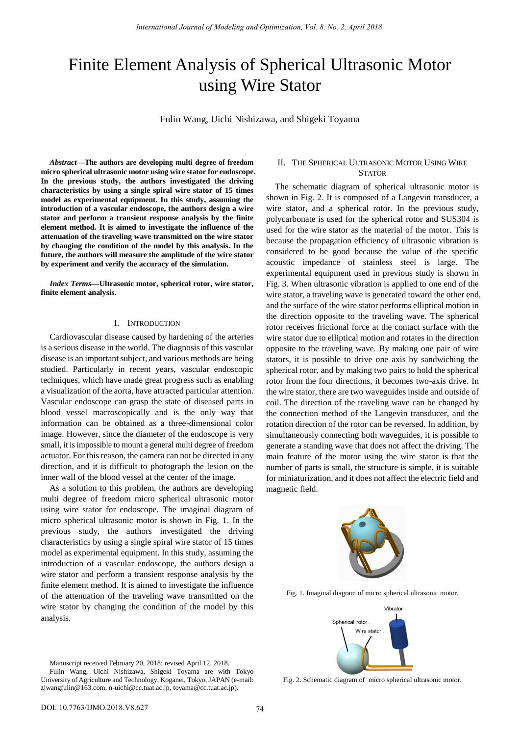# Finite Element Analysis of Spherical Ultrasonic Motor using Wire Stator

Fulin Wang, Uichi Nishizawa, and Shigeki Toyama

*Abstract***—The authors are developing multi degree of freedom micro spherical ultrasonic motor using wire stator for endoscope. In the previous study, the authors investigated the driving characteristics by using a single spiral wire stator of 15 times model as experimental equipment. In this study, assuming the introduction of a vascular endoscope, the authors design a wire stator and perform a transient response analysis by the finite element method. It is aimed to investigate the influence of the attenuation of the traveling wave transmitted on the wire stator by changing the condition of the model by this analysis. In the future, the authors will measure the amplitude of the wire stator by experiment and verify the accuracy of the simulation.** 

*Index Terms***—Ultrasonic motor, spherical rotor, wire stator, finite element analysis.** 

#### I. INTRODUCTION

Cardiovascular disease caused by hardening of the arteries is a serious disease in the world. The diagnosis of this vascular disease is an important subject, and various methods are being studied. Particularly in recent years, vascular endoscopic techniques, which have made great progress such as enabling a visualization of the aorta, have attracted particular attention. Vascular endoscope can grasp the state of diseased parts in blood vessel macroscopically and is the only way that information can be obtained as a three-dimensional color image. However, since the diameter of the endoscope is very small, it is impossible to mount a general multi degree of freedom actuator. For this reason, the camera can not be directed in any direction, and it is difficult to photograph the lesion on the inner wall of the blood vessel at the center of the image.

As a solution to this problem, the authors are developing multi degree of freedom micro spherical ultrasonic motor using wire stator for endoscope. The imaginal diagram of micro spherical ultrasonic motor is shown in Fig. 1. In the previous study, the authors investigated the driving characteristics by using a single spiral wire stator of 15 times model as experimental equipment. In this study, assuming the introduction of a vascular endoscope, the authors design a wire stator and perform a transient response analysis by the finite element method. It is aimed to investigate the influence of the attenuation of the traveling wave transmitted on the wire stator by changing the condition of the model by this analysis.

## II. THE SPHERICAL ULTRASONIC MOTOR USING WIRE **STATOR**

The schematic diagram of spherical ultrasonic motor is shown in Fig. 2. It is composed of a Langevin transducer, a wire stator, and a spherical rotor. In the previous study, polycarbonate is used for the spherical rotor and SUS304 is used for the wire stator as the material of the motor. This is because the propagation efficiency of ultrasonic vibration is considered to be good because the value of the specific acoustic impedance of stainless steel is large. The experimental equipment used in previous study is shown in Fig. 3. When ultrasonic vibration is applied to one end of the wire stator, a traveling wave is generated toward the other end, and the surface of the wire stator performs elliptical motion in the direction opposite to the traveling wave. The spherical rotor receives frictional force at the contact surface with the wire stator due to elliptical motion and rotates in the direction opposite to the traveling wave. By making one pair of wire stators, it is possible to drive one axis by sandwiching the spherical rotor, and by making two pairs to hold the spherical rotor from the four directions, it becomes two-axis drive. In the wire stator, there are two waveguides inside and outside of coil. The direction of the traveling wave can be changed by the connection method of the Langevin transducer, and the rotation direction of the rotor can be reversed. In addition, by simultaneously connecting both waveguides, it is possible to generate a standing wave that does not affect the driving. The main feature of the motor using the wire stator is that the number of parts is small, the structure is simple, it is suitable for miniaturization, and it does not affect the electric field and magnetic field.



Fig. 1. Imaginal diagram of micro spherical ultrasonic motor.



Manuscript received February 20, 2018; revised April 12, 2018. Fulin Wang, Uichi Nishizawa, Shigeki Toyama are with Tokyo University of Agriculture and Technology, Koganei, Tokyo, JAPAN (e-mail: zjwangfulin@163.com, n-uichi@cc.tuat.ac.jp, toyama@cc.tuat.ac.jp).

Fig. 2. Schematic diagram of micro spherical ultrasonic motor.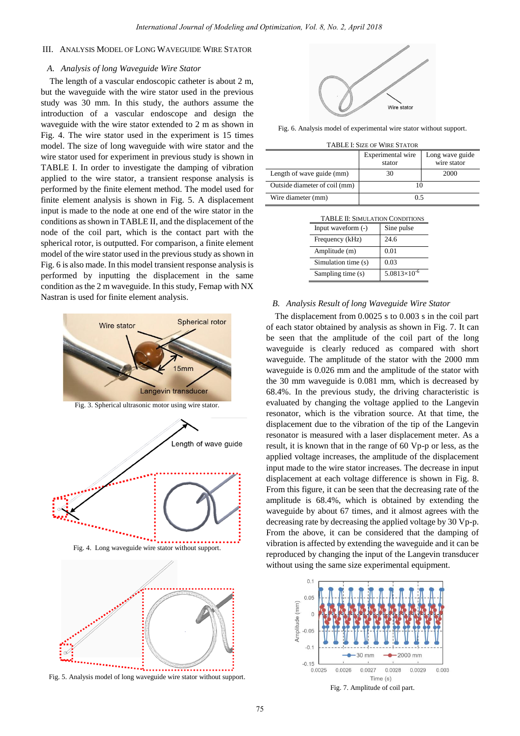## III. ANALYSIS MODEL OF LONG WAVEGUIDE WIRE STATOR

#### *A. Analysis of long Waveguide Wire Stator*

The length of a vascular endoscopic catheter is about 2 m, but the waveguide with the wire stator used in the previous study was 30 mm. In this study, the authors assume the introduction of a vascular endoscope and design the waveguide with the wire stator extended to 2 m as shown in Fig. 4. The wire stator used in the experiment is 15 times model. The size of long waveguide with wire stator and the wire stator used for experiment in previous study is shown in TABLE I. In order to investigate the damping of vibration applied to the wire stator, a transient response analysis is performed by the finite element method. The model used for finite element analysis is shown in Fig. 5. A displacement input is made to the node at one end of the wire stator in the conditions as shown in TABLE II, and the displacement of the node of the coil part, which is the contact part with the spherical rotor, is outputted. For comparison, a finite element model of the wire stator used in the previous study as shown in Fig. 6 is also made. In this model transient response analysis is performed by inputting the displacement in the same condition as the 2 m waveguide. In this study, Femap with NX Nastran is used for finite element analysis.



Fig. 5. Analysis model of long waveguide wire stator without support.



Fig. 6. Analysis model of experimental wire stator without support.

| <b>TABLE I: SIZE OF WIRE STATOR</b> |                             |                                |  |  |
|-------------------------------------|-----------------------------|--------------------------------|--|--|
|                                     | Experimental wire<br>stator | Long wave guide<br>wire stator |  |  |
| Length of wave guide (mm)           | 30                          | 2000                           |  |  |
| Outside diameter of coil (mm)       |                             |                                |  |  |
| Wire diameter (mm)                  | 0.5                         |                                |  |  |

|  | <b>TABLE II: SIMULATION CONDITIONS</b> |
|--|----------------------------------------|
|  |                                        |
|  |                                        |

| Input waveform $(-)$ | Sine pulse            |
|----------------------|-----------------------|
| Frequency (kHz)      | 24.6                  |
| Amplitude (m)        | 0.01                  |
| Simulation time (s)  | 0.03                  |
| Sampling time (s)    | $5.0813\times10^{-6}$ |
|                      |                       |

#### *B. Analysis Result of long Waveguide Wire Stator*

The displacement from 0.0025 s to 0.003 s in the coil part of each stator obtained by analysis as shown in Fig. 7. It can be seen that the amplitude of the coil part of the long waveguide is clearly reduced as compared with short waveguide. The amplitude of the stator with the 2000 mm waveguide is 0.026 mm and the amplitude of the stator with the 30 mm waveguide is 0.081 mm, which is decreased by 68.4%. In the previous study, the driving characteristic is evaluated by changing the voltage applied to the Langevin resonator, which is the vibration source. At that time, the displacement due to the vibration of the tip of the Langevin resonator is measured with a laser displacement meter. As a result, it is known that in the range of 60 Vp-p or less, as the applied voltage increases, the amplitude of the displacement input made to the wire stator increases. The decrease in input displacement at each voltage difference is shown in Fig. 8. From this figure, it can be seen that the decreasing rate of the amplitude is 68.4%, which is obtained by extending the waveguide by about 67 times, and it almost agrees with the decreasing rate by decreasing the applied voltage by 30 Vp-p. From the above, it can be considered that the damping of vibration is affected by extending the waveguide and it can be reproduced by changing the input of the Langevin transducer without using the same size experimental equipment.

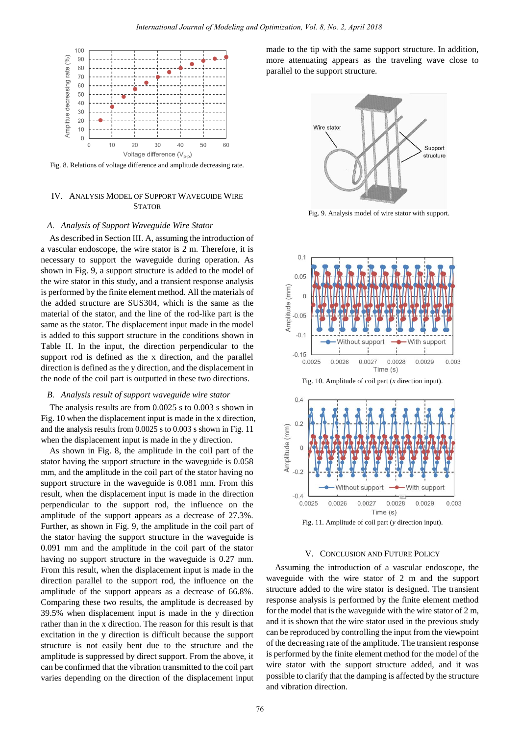

Fig. 8. Relations of voltage difference and amplitude decreasing rate.

## IV. ANALYSIS MODEL OF SUPPORT WAVEGUIDE WIRE **STATOR**

#### *A. Analysis of Support Waveguide Wire Stator*

As described in Section III. A, assuming the introduction of a vascular endoscope, the wire stator is 2 m. Therefore, it is necessary to support the waveguide during operation. As shown in Fig. 9, a support structure is added to the model of the wire stator in this study, and a transient response analysis is performed by the finite element method. All the materials of the added structure are SUS304, which is the same as the material of the stator, and the line of the rod-like part is the same as the stator. The displacement input made in the model is added to this support structure in the conditions shown in Table II. In the input, the direction perpendicular to the support rod is defined as the x direction, and the parallel direction is defined as the y direction, and the displacement in the node of the coil part is outputted in these two directions.

## *B. Analysis result of support waveguide wire stator*

The analysis results are from 0.0025 s to 0.003 s shown in Fig. 10 when the displacement input is made in the x direction, and the analysis results from 0.0025 s to 0.003 s shown in Fig. 11 when the displacement input is made in the y direction.

As shown in Fig. 8, the amplitude in the coil part of the stator having the support structure in the waveguide is 0.058 mm, and the amplitude in the coil part of the stator having no support structure in the waveguide is 0.081 mm. From this result, when the displacement input is made in the direction perpendicular to the support rod, the influence on the amplitude of the support appears as a decrease of 27.3%. Further, as shown in Fig. 9, the amplitude in the coil part of the stator having the support structure in the waveguide is 0.091 mm and the amplitude in the coil part of the stator having no support structure in the waveguide is 0.27 mm. From this result, when the displacement input is made in the direction parallel to the support rod, the influence on the amplitude of the support appears as a decrease of 66.8%. Comparing these two results, the amplitude is decreased by 39.5% when displacement input is made in the y direction rather than in the x direction. The reason for this result is that excitation in the y direction is difficult because the support structure is not easily bent due to the structure and the amplitude is suppressed by direct support. From the above, it can be confirmed that the vibration transmitted to the coil part varies depending on the direction of the displacement input made to the tip with the same support structure. In addition, more attenuating appears as the traveling wave close to parallel to the support structure.



Fig. 9. Analysis model of wire stator with support.



Fig. 10. Amplitude of coil part (*x* direction input).



Fig. 11. Amplitude of coil part (*y* direction input).

#### V. CONCLUSION AND FUTURE POLICY

Assuming the introduction of a vascular endoscope, the waveguide with the wire stator of 2 m and the support structure added to the wire stator is designed. The transient response analysis is performed by the finite element method for the model that is the waveguide with the wire stator of 2 m, and it is shown that the wire stator used in the previous study can be reproduced by controlling the input from the viewpoint of the decreasing rate of the amplitude. The transient response is performed by the finite element method for the model of the wire stator with the support structure added, and it was possible to clarify that the damping is affected by the structure and vibration direction.